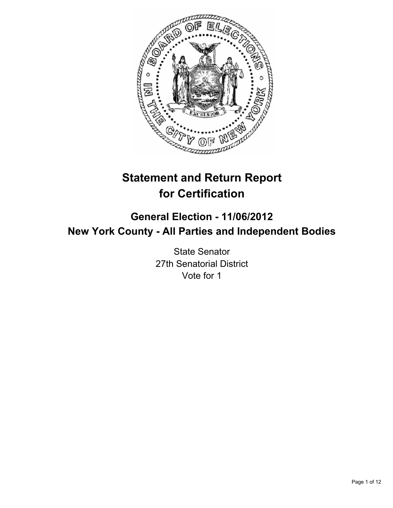

# **Statement and Return Report for Certification**

# **General Election - 11/06/2012 New York County - All Parties and Independent Bodies**

State Senator 27th Senatorial District Vote for 1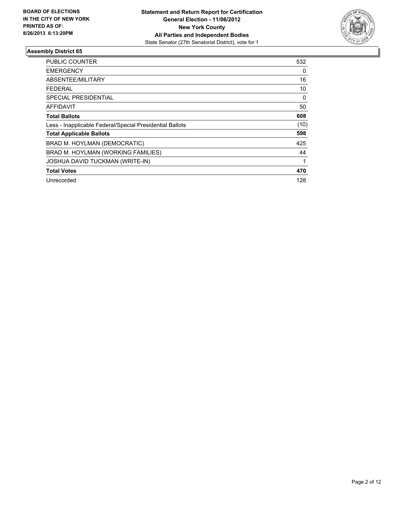

| <b>PUBLIC COUNTER</b>                                    | 532  |
|----------------------------------------------------------|------|
| <b>EMERGENCY</b>                                         | 0    |
| ABSENTEE/MILITARY                                        | 16   |
| <b>FEDERAL</b>                                           | 10   |
| SPECIAL PRESIDENTIAL                                     | 0    |
| AFFIDAVIT                                                | 50   |
| <b>Total Ballots</b>                                     | 608  |
| Less - Inapplicable Federal/Special Presidential Ballots | (10) |
| <b>Total Applicable Ballots</b>                          | 598  |
| BRAD M. HOYLMAN (DEMOCRATIC)                             | 425  |
| BRAD M. HOYLMAN (WORKING FAMILIES)                       | 44   |
| <b>JOSHUA DAVID TUCKMAN (WRITE-IN)</b>                   | 1    |
| <b>Total Votes</b>                                       | 470  |
| Unrecorded                                               | 128  |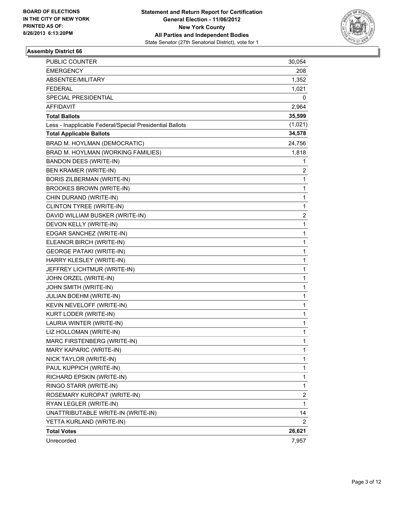

| PUBLIC COUNTER                                           | 30,054       |
|----------------------------------------------------------|--------------|
| <b>EMERGENCY</b>                                         | 208          |
| ABSENTEE/MILITARY                                        | 1,352        |
| <b>FEDERAL</b>                                           | 1,021        |
| SPECIAL PRESIDENTIAL                                     | 0            |
| <b>AFFIDAVIT</b>                                         | 2,964        |
| <b>Total Ballots</b>                                     | 35,599       |
| Less - Inapplicable Federal/Special Presidential Ballots | (1,021)      |
| <b>Total Applicable Ballots</b>                          | 34,578       |
| BRAD M. HOYLMAN (DEMOCRATIC)                             | 24,756       |
| BRAD M. HOYLMAN (WORKING FAMILIES)                       | 1,818        |
| BANDON DEES (WRITE-IN)                                   | 1            |
| BEN KRAMER (WRITE-IN)                                    | 2            |
| <b>BORIS ZILBERMAN (WRITE-IN)</b>                        | 1            |
| BROOKES BROWN (WRITE-IN)                                 | $\mathbf{1}$ |
| CHIN DURAND (WRITE-IN)                                   | 1            |
| CLINTON TYREE (WRITE-IN)                                 | 1            |
| DAVID WILLIAM BUSKER (WRITE-IN)                          | 2            |
| DEVON KELLY (WRITE-IN)                                   | 1            |
| EDGAR SANCHEZ (WRITE-IN)                                 | 1            |
| ELEANOR BIRCH (WRITE-IN)                                 | $\mathbf{1}$ |
| <b>GEORGE PATAKI (WRITE-IN)</b>                          | 1            |
| HARRY KLESLEY (WRITE-IN)                                 | 1            |
| JEFFREY LICHTMUR (WRITE-IN)                              | $\mathbf{1}$ |
| JOHN ORZEL (WRITE-IN)                                    | 1            |
| JOHN SMITH (WRITE-IN)                                    | 1            |
| JULIAN BOEHM (WRITE-IN)                                  | $\mathbf{1}$ |
| KEVIN NEVELOFF (WRITE-IN)                                | 1            |
| KURT LODER (WRITE-IN)                                    | 1            |
| LAURIA WINTER (WRITE-IN)                                 | 1            |
| LIZ HOLLOMAN (WRITE-IN)                                  | 1            |
| MARC FIRSTENBERG (WRITE-IN)                              | 1            |
| MARY KAPARIC (WRITE-IN)                                  | 1            |
| NICK TAYLOR (WRITE-IN)                                   | 1            |
| PAUL KUPPICH (WRITE-IN)                                  | 1            |
| RICHARD EPSKIN (WRITE-IN)                                | $\mathbf{1}$ |
| RINGO STARR (WRITE-IN)                                   | 1            |
| ROSEMARY KUROPAT (WRITE-IN)                              | 2            |
| RYAN LEGLER (WRITE-IN)                                   | 1            |
| UNATTRIBUTABLE WRITE-IN (WRITE-IN)                       | 14           |
| YETTA KURLAND (WRITE-IN)                                 | 2            |
| <b>Total Votes</b>                                       | 26,621       |
| Unrecorded                                               | 7,957        |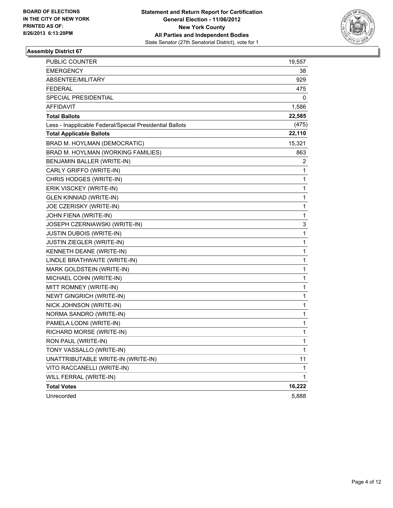

| <b>PUBLIC COUNTER</b>                                    | 19,557       |
|----------------------------------------------------------|--------------|
| <b>EMERGENCY</b>                                         | 38           |
| ABSENTEE/MILITARY                                        | 929          |
| <b>FEDERAL</b>                                           | 475          |
| SPECIAL PRESIDENTIAL                                     | 0            |
| AFFIDAVIT                                                | 1,586        |
| <b>Total Ballots</b>                                     | 22,585       |
| Less - Inapplicable Federal/Special Presidential Ballots | (475)        |
| <b>Total Applicable Ballots</b>                          | 22,110       |
| BRAD M. HOYLMAN (DEMOCRATIC)                             | 15,321       |
| BRAD M. HOYLMAN (WORKING FAMILIES)                       | 863          |
| BENJAMIN BALLER (WRITE-IN)                               | 2            |
| CARLY GRIFFO (WRITE-IN)                                  | 1            |
| CHRIS HODGES (WRITE-IN)                                  | 1            |
| ERIK VISCKEY (WRITE-IN)                                  | 1            |
| GLEN KINNIAD (WRITE-IN)                                  | 1            |
| JOE CZERISKY (WRITE-IN)                                  | 1            |
| JOHN FIENA (WRITE-IN)                                    | 1            |
| JOSEPH CZERNIAWSKI (WRITE-IN)                            | 3            |
| JUSTIN DUBOIS (WRITE-IN)                                 | $\mathbf 1$  |
| JUSTIN ZIEGLER (WRITE-IN)                                | 1            |
| KENNETH DEANE (WRITE-IN)                                 | 1            |
| LINDLE BRATHWAITE (WRITE-IN)                             | 1            |
| MARK GOLDSTEIN (WRITE-IN)                                | 1            |
| MICHAEL COHN (WRITE-IN)                                  | 1            |
| MITT ROMNEY (WRITE-IN)                                   | $\mathbf 1$  |
| <b>NEWT GINGRICH (WRITE-IN)</b>                          | 1            |
| NICK JOHNSON (WRITE-IN)                                  | 1            |
| NORMA SANDRO (WRITE-IN)                                  | 1            |
| PAMELA LODNI (WRITE-IN)                                  | 1            |
| RICHARD MORSE (WRITE-IN)                                 | 1            |
| RON PAUL (WRITE-IN)                                      | $\mathbf{1}$ |
| TONY VASSALLO (WRITE-IN)                                 | 1            |
| UNATTRIBUTABLE WRITE-IN (WRITE-IN)                       | 11           |
| VITO RACCANELLI (WRITE-IN)                               | 1            |
| WILL FERRAL (WRITE-IN)                                   | 1            |
| <b>Total Votes</b>                                       | 16,222       |
| Unrecorded                                               | 5,888        |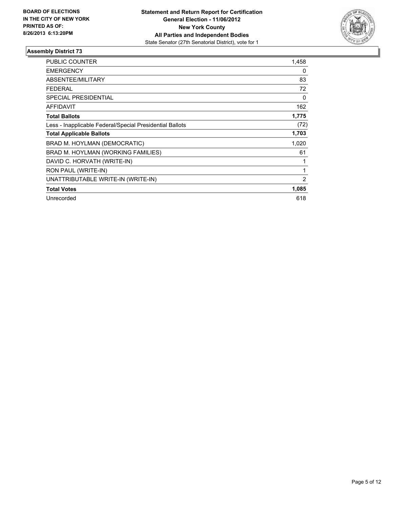

| <b>PUBLIC COUNTER</b>                                    | 1,458 |
|----------------------------------------------------------|-------|
| <b>EMERGENCY</b>                                         | 0     |
| ABSENTEE/MILITARY                                        | 83    |
| <b>FEDERAL</b>                                           | 72    |
| SPECIAL PRESIDENTIAL                                     | 0     |
| <b>AFFIDAVIT</b>                                         | 162   |
| <b>Total Ballots</b>                                     | 1,775 |
| Less - Inapplicable Federal/Special Presidential Ballots | (72)  |
| <b>Total Applicable Ballots</b>                          | 1,703 |
| BRAD M. HOYLMAN (DEMOCRATIC)                             | 1,020 |
| BRAD M. HOYLMAN (WORKING FAMILIES)                       | 61    |
| DAVID C. HORVATH (WRITE-IN)                              | 1     |
| RON PAUL (WRITE-IN)                                      | 1     |
| UNATTRIBUTABLE WRITE-IN (WRITE-IN)                       | 2     |
| <b>Total Votes</b>                                       | 1,085 |
| Unrecorded                                               | 618   |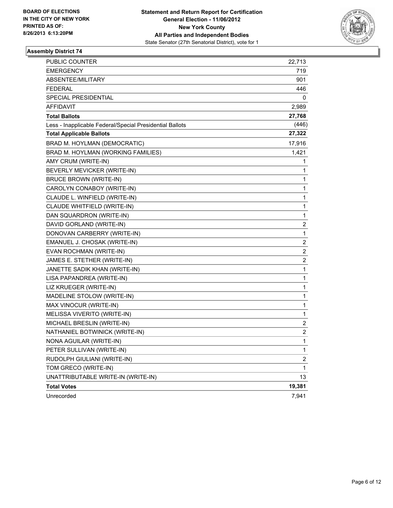

| PUBLIC COUNTER                                           | 22,713                  |
|----------------------------------------------------------|-------------------------|
| <b>EMERGENCY</b>                                         | 719                     |
| ABSENTEE/MILITARY                                        | 901                     |
| <b>FEDERAL</b>                                           | 446                     |
| SPECIAL PRESIDENTIAL                                     | 0                       |
| AFFIDAVIT                                                | 2,989                   |
| <b>Total Ballots</b>                                     | 27,768                  |
| Less - Inapplicable Federal/Special Presidential Ballots | (446)                   |
| <b>Total Applicable Ballots</b>                          | 27,322                  |
| BRAD M. HOYLMAN (DEMOCRATIC)                             | 17,916                  |
| BRAD M. HOYLMAN (WORKING FAMILIES)                       | 1,421                   |
| AMY CRUM (WRITE-IN)                                      | 1                       |
| BEVERLY MEVICKER (WRITE-IN)                              | 1                       |
| <b>BRUCE BROWN (WRITE-IN)</b>                            | 1                       |
| CAROLYN CONABOY (WRITE-IN)                               | 1                       |
| CLAUDE L. WINFIELD (WRITE-IN)                            | 1                       |
| CLAUDE WHITFIELD (WRITE-IN)                              | 1                       |
| DAN SQUARDRON (WRITE-IN)                                 | 1                       |
| DAVID GORLAND (WRITE-IN)                                 | 2                       |
| DONOVAN CARBERRY (WRITE-IN)                              | 1                       |
| EMANUEL J. CHOSAK (WRITE-IN)                             | $\overline{\mathbf{c}}$ |
| EVAN ROCHMAN (WRITE-IN)                                  | $\overline{\mathbf{c}}$ |
| JAMES E. STETHER (WRITE-IN)                              | 2                       |
| JANETTE SADIK KHAN (WRITE-IN)                            | 1                       |
| LISA PAPANDREA (WRITE-IN)                                | 1                       |
| LIZ KRUEGER (WRITE-IN)                                   | 1                       |
| MADELINE STOLOW (WRITE-IN)                               | 1                       |
| MAX VINOCUR (WRITE-IN)                                   | 1                       |
| MELISSA VIVERITO (WRITE-IN)                              | 1                       |
| MICHAEL BRESLIN (WRITE-IN)                               | $\overline{\mathbf{c}}$ |
| NATHANIEL BOTWINICK (WRITE-IN)                           | $\overline{\mathbf{c}}$ |
| NONA AGUILAR (WRITE-IN)                                  | 1                       |
| PETER SULLIVAN (WRITE-IN)                                | $\mathbf{1}$            |
| RUDOLPH GIULIANI (WRITE-IN)                              | $\overline{\mathbf{c}}$ |
| TOM GRECO (WRITE-IN)                                     | 1                       |
| UNATTRIBUTABLE WRITE-IN (WRITE-IN)                       | 13                      |
| <b>Total Votes</b>                                       | 19,381                  |
| Unrecorded                                               | 7,941                   |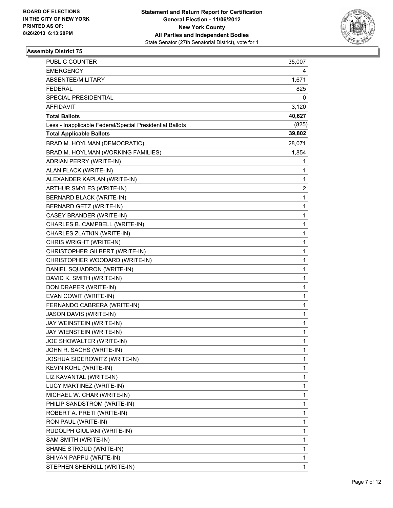

| PUBLIC COUNTER                                           | 35,007       |
|----------------------------------------------------------|--------------|
| <b>EMERGENCY</b>                                         | 4            |
| ABSENTEE/MILITARY                                        | 1,671        |
| <b>FEDERAL</b>                                           | 825          |
| <b>SPECIAL PRESIDENTIAL</b>                              | 0            |
| <b>AFFIDAVIT</b>                                         | 3,120        |
| <b>Total Ballots</b>                                     | 40,627       |
| Less - Inapplicable Federal/Special Presidential Ballots | (825)        |
| <b>Total Applicable Ballots</b>                          | 39,802       |
| BRAD M. HOYLMAN (DEMOCRATIC)                             | 28,071       |
| BRAD M. HOYLMAN (WORKING FAMILIES)                       | 1,854        |
| ADRIAN PERRY (WRITE-IN)                                  | 1            |
| ALAN FLACK (WRITE-IN)                                    | 1            |
| ALEXANDER KAPLAN (WRITE-IN)                              | 1            |
| ARTHUR SMYLES (WRITE-IN)                                 | 2            |
| BERNARD BLACK (WRITE-IN)                                 | 1            |
| BERNARD GETZ (WRITE-IN)                                  | 1            |
| CASEY BRANDER (WRITE-IN)                                 | 1            |
| CHARLES B. CAMPBELL (WRITE-IN)                           | 1            |
| CHARLES ZLATKIN (WRITE-IN)                               | 1            |
| CHRIS WRIGHT (WRITE-IN)                                  | 1            |
| CHRISTOPHER GILBERT (WRITE-IN)                           | 1            |
| CHRISTOPHER WOODARD (WRITE-IN)                           | 1            |
| DANIEL SQUADRON (WRITE-IN)                               | 1            |
| DAVID K. SMITH (WRITE-IN)                                | 1            |
| DON DRAPER (WRITE-IN)                                    | 1            |
| EVAN COWIT (WRITE-IN)                                    | 1            |
| FERNANDO CABRERA (WRITE-IN)                              | 1            |
| JASON DAVIS (WRITE-IN)                                   | 1            |
| JAY WEINSTEIN (WRITE-IN)                                 | 1            |
| JAY WIENSTEIN (WRITE-IN)                                 | 1            |
| JOE SHOWALTER (WRITE-IN)                                 | 1            |
| JOHN R. SACHS (WRITE-IN)                                 | 1            |
| JOSHUA SIDEROWITZ (WRITE-IN)                             | 1            |
| <b>KEVIN KOHL (WRITE-IN)</b>                             | 1            |
| LIZ KAVANTAL (WRITE-IN)                                  | 1            |
| LUCY MARTINEZ (WRITE-IN)                                 | $\mathbf 1$  |
| MICHAEL W. CHAR (WRITE-IN)                               | 1            |
| PHILIP SANDSTROM (WRITE-IN)                              | 1            |
| ROBERT A. PRETI (WRITE-IN)                               | 1            |
| RON PAUL (WRITE-IN)                                      | 1            |
| RUDOLPH GIULIANI (WRITE-IN)                              | 1            |
| SAM SMITH (WRITE-IN)                                     | $\mathbf 1$  |
| SHANE STROUD (WRITE-IN)                                  | 1            |
| SHIVAN PAPPU (WRITE-IN)                                  | 1            |
| STEPHEN SHERRILL (WRITE-IN)                              | $\mathbf{1}$ |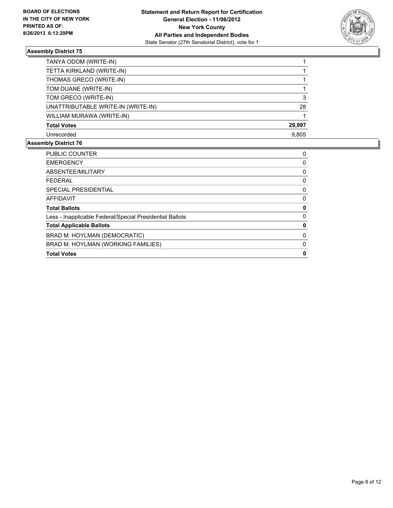

| TANYA ODOM (WRITE-IN)              |        |
|------------------------------------|--------|
| TETTA KIRKLAND (WRITE-IN)          |        |
| THOMAS GRECO (WRITE-IN)            |        |
| TOM DUANE (WRITE-IN)               |        |
| TOM GRECO (WRITE-IN)               | 3      |
| UNATTRIBUTABLE WRITE-IN (WRITE-IN) | 28     |
| WILLIAM MURAWA (WRITE-IN)          |        |
| <b>Total Votes</b>                 | 29,997 |
| Unrecorded                         | 9,805  |

| <b>PUBLIC COUNTER</b>                                    | 0 |
|----------------------------------------------------------|---|
| <b>EMERGENCY</b>                                         | 0 |
| ABSENTEE/MILITARY                                        | 0 |
| <b>FFDFRAL</b>                                           | 0 |
| SPECIAL PRESIDENTIAL                                     | 0 |
| <b>AFFIDAVIT</b>                                         | 0 |
| <b>Total Ballots</b>                                     | 0 |
| Less - Inapplicable Federal/Special Presidential Ballots | 0 |
| <b>Total Applicable Ballots</b>                          | 0 |
| BRAD M. HOYLMAN (DEMOCRATIC)                             | 0 |
| BRAD M. HOYLMAN (WORKING FAMILIES)                       | 0 |
| <b>Total Votes</b>                                       | O |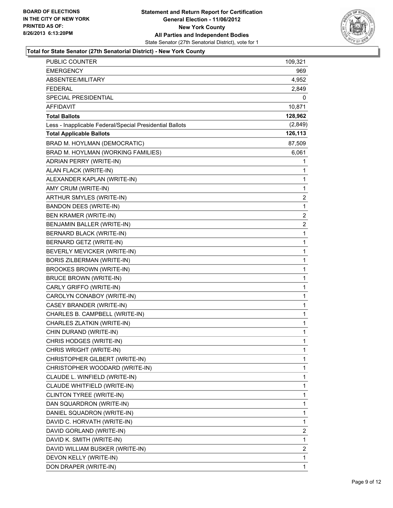

#### **Total for State Senator (27th Senatorial District) - New York County**

| PUBLIC COUNTER                                           | 109,321                 |
|----------------------------------------------------------|-------------------------|
| EMERGENCY                                                | 969                     |
| ABSENTEE/MILITARY                                        | 4,952                   |
| <b>FEDERAL</b>                                           | 2,849                   |
| SPECIAL PRESIDENTIAL                                     | 0                       |
| <b>AFFIDAVIT</b>                                         | 10,871                  |
| <b>Total Ballots</b>                                     | 128,962                 |
| Less - Inapplicable Federal/Special Presidential Ballots | (2,849)                 |
| <b>Total Applicable Ballots</b>                          | 126,113                 |
| BRAD M. HOYLMAN (DEMOCRATIC)                             | 87,509                  |
| BRAD M. HOYLMAN (WORKING FAMILIES)                       | 6,061                   |
| ADRIAN PERRY (WRITE-IN)                                  | 1                       |
| ALAN FLACK (WRITE-IN)                                    | 1                       |
| ALEXANDER KAPLAN (WRITE-IN)                              | 1                       |
| AMY CRUM (WRITE-IN)                                      | 1                       |
| ARTHUR SMYLES (WRITE-IN)                                 | $\overline{\mathbf{c}}$ |
| <b>BANDON DEES (WRITE-IN)</b>                            | 1                       |
| <b>BEN KRAMER (WRITE-IN)</b>                             | 2                       |
| BENJAMIN BALLER (WRITE-IN)                               | $\overline{\mathbf{c}}$ |
| BERNARD BLACK (WRITE-IN)                                 | 1                       |
| BERNARD GETZ (WRITE-IN)                                  | 1                       |
| BEVERLY MEVICKER (WRITE-IN)                              | 1                       |
| <b>BORIS ZILBERMAN (WRITE-IN)</b>                        | 1                       |
| BROOKES BROWN (WRITE-IN)                                 | 1                       |
| <b>BRUCE BROWN (WRITE-IN)</b>                            | 1                       |
| CARLY GRIFFO (WRITE-IN)                                  | 1                       |
| CAROLYN CONABOY (WRITE-IN)                               | 1                       |
| CASEY BRANDER (WRITE-IN)                                 | 1                       |
| CHARLES B. CAMPBELL (WRITE-IN)                           | 1                       |
| CHARLES ZLATKIN (WRITE-IN)                               | 1                       |
| CHIN DURAND (WRITE-IN)                                   | 1                       |
| CHRIS HODGES (WRITE-IN)                                  | 1                       |
| CHRIS WRIGHT (WRITE-IN)                                  | 1                       |
| CHRISTOPHER GILBERT (WRITE-IN)                           | 1                       |
| CHRISTOPHER WOODARD (WRITE-IN)                           | 1                       |
| CLAUDE L. WINFIELD (WRITE-IN)                            | 1                       |
| CLAUDE WHITFIELD (WRITE-IN)                              | 1                       |
| CLINTON TYREE (WRITE-IN)                                 | 1                       |
| DAN SQUARDRON (WRITE-IN)                                 | 1                       |
| DANIEL SQUADRON (WRITE-IN)                               | 1                       |
| DAVID C. HORVATH (WRITE-IN)                              | 1                       |
| DAVID GORLAND (WRITE-IN)                                 | 2                       |
| DAVID K. SMITH (WRITE-IN)                                | 1                       |
| DAVID WILLIAM BUSKER (WRITE-IN)                          | 2                       |
| DEVON KELLY (WRITE-IN)                                   | 1                       |
| DON DRAPER (WRITE-IN)                                    | 1                       |
|                                                          |                         |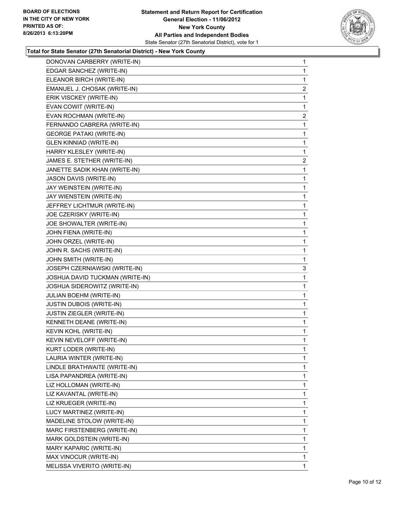#### **Statement and Return Report for Certification General Election - 11/06/2012 New York County All Parties and Independent Bodies** State Senator (27th Senatorial District), vote for 1



#### **Total for State Senator (27th Senatorial District) - New York County**

| DONOVAN CARBERRY (WRITE-IN)     | 1              |
|---------------------------------|----------------|
| EDGAR SANCHEZ (WRITE-IN)        | 1              |
| ELEANOR BIRCH (WRITE-IN)        | 1              |
| EMANUEL J. CHOSAK (WRITE-IN)    | $\overline{c}$ |
| ERIK VISCKEY (WRITE-IN)         | 1              |
| EVAN COWIT (WRITE-IN)           | 1              |
| EVAN ROCHMAN (WRITE-IN)         | $\mathbf{2}$   |
| FERNANDO CABRERA (WRITE-IN)     | 1              |
| <b>GEORGE PATAKI (WRITE-IN)</b> | 1              |
| <b>GLEN KINNIAD (WRITE-IN)</b>  | 1              |
| HARRY KLESLEY (WRITE-IN)        | 1              |
| JAMES E. STETHER (WRITE-IN)     | 2              |
| JANETTE SADIK KHAN (WRITE-IN)   | 1              |
| JASON DAVIS (WRITE-IN)          | 1              |
| JAY WEINSTEIN (WRITE-IN)        | 1              |
| JAY WIENSTEIN (WRITE-IN)        | 1              |
| JEFFREY LICHTMUR (WRITE-IN)     | 1              |
| JOE CZERISKY (WRITE-IN)         | 1              |
| JOE SHOWALTER (WRITE-IN)        | 1              |
| JOHN FIENA (WRITE-IN)           | 1              |
| JOHN ORZEL (WRITE-IN)           | 1              |
| JOHN R. SACHS (WRITE-IN)        | 1              |
| JOHN SMITH (WRITE-IN)           | 1              |
| JOSEPH CZERNIAWSKI (WRITE-IN)   | 3              |
| JOSHUA DAVID TUCKMAN (WRITE-IN) | 1              |
| JOSHUA SIDEROWITZ (WRITE-IN)    | 1              |
| JULIAN BOEHM (WRITE-IN)         | 1              |
| <b>JUSTIN DUBOIS (WRITE-IN)</b> | 1              |
| JUSTIN ZIEGLER (WRITE-IN)       | 1              |
| KENNETH DEANE (WRITE-IN)        | 1              |
| KEVIN KOHL (WRITE-IN)           | 1              |
| KEVIN NEVELOFF (WRITE-IN)       | 1              |
| KURT LODER (WRITE-IN)           | 1              |
| LAURIA WINTER (WRITE-IN)        | 1              |
| LINDLE BRATHWAITE (WRITE-IN)    | 1              |
| LISA PAPANDREA (WRITE-IN)       | 1              |
| LIZ HOLLOMAN (WRITE-IN)         | 1              |
| LIZ KAVANTAL (WRITE-IN)         | 1              |
| LIZ KRUEGER (WRITE-IN)          | 1              |
| LUCY MARTINEZ (WRITE-IN)        | 1              |
| MADELINE STOLOW (WRITE-IN)      | 1              |
| MARC FIRSTENBERG (WRITE-IN)     | 1              |
| MARK GOLDSTEIN (WRITE-IN)       | 1              |
| MARY KAPARIC (WRITE-IN)         | 1              |
| MAX VINOCUR (WRITE-IN)          | 1              |
| MELISSA VIVERITO (WRITE-IN)     | $\mathbf{1}$   |
|                                 |                |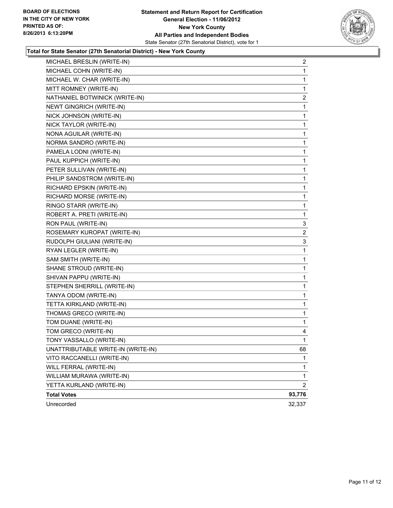#### **Statement and Return Report for Certification General Election - 11/06/2012 New York County All Parties and Independent Bodies** State Senator (27th Senatorial District), vote for 1



#### **Total for State Senator (27th Senatorial District) - New York County**

| MICHAEL BRESLIN (WRITE-IN)         | $\overline{2}$ |
|------------------------------------|----------------|
| MICHAEL COHN (WRITE-IN)            | 1              |
| MICHAEL W. CHAR (WRITE-IN)         | 1              |
| MITT ROMNEY (WRITE-IN)             | 1              |
| NATHANIEL BOTWINICK (WRITE-IN)     | 2              |
| NEWT GINGRICH (WRITE-IN)           | 1              |
| NICK JOHNSON (WRITE-IN)            | 1              |
| NICK TAYLOR (WRITE-IN)             | 1              |
| NONA AGUILAR (WRITE-IN)            | 1              |
| NORMA SANDRO (WRITE-IN)            | 1              |
| PAMELA LODNI (WRITE-IN)            | 1              |
| PAUL KUPPICH (WRITE-IN)            | 1              |
| PETER SULLIVAN (WRITE-IN)          | 1              |
| PHILIP SANDSTROM (WRITE-IN)        | 1              |
| RICHARD EPSKIN (WRITE-IN)          | 1              |
| RICHARD MORSE (WRITE-IN)           | 1              |
| RINGO STARR (WRITE-IN)             | 1              |
| ROBERT A. PRETI (WRITE-IN)         | 1              |
| RON PAUL (WRITE-IN)                | 3              |
| ROSEMARY KUROPAT (WRITE-IN)        | 2              |
| RUDOLPH GIULIANI (WRITE-IN)        | 3              |
| RYAN LEGLER (WRITE-IN)             | 1              |
| SAM SMITH (WRITE-IN)               | 1              |
| SHANE STROUD (WRITE-IN)            | 1              |
| SHIVAN PAPPU (WRITE-IN)            | 1              |
| STEPHEN SHERRILL (WRITE-IN)        | 1              |
| TANYA ODOM (WRITE-IN)              | 1              |
| TETTA KIRKLAND (WRITE-IN)          | 1              |
| THOMAS GRECO (WRITE-IN)            | 1              |
| TOM DUANE (WRITE-IN)               | 1              |
| TOM GRECO (WRITE-IN)               | 4              |
| TONY VASSALLO (WRITE-IN)           | $\mathbf{1}$   |
| UNATTRIBUTABLE WRITE-IN (WRITE-IN) | 68             |
| VITO RACCANELLI (WRITE-IN)         | 1              |
| WILL FERRAL (WRITE-IN)             | 1              |
| WILLIAM MURAWA (WRITE-IN)          | 1              |
| YETTA KURLAND (WRITE-IN)           | $\overline{2}$ |
| <b>Total Votes</b>                 | 93,776         |
| Unrecorded                         | 32,337         |
|                                    |                |